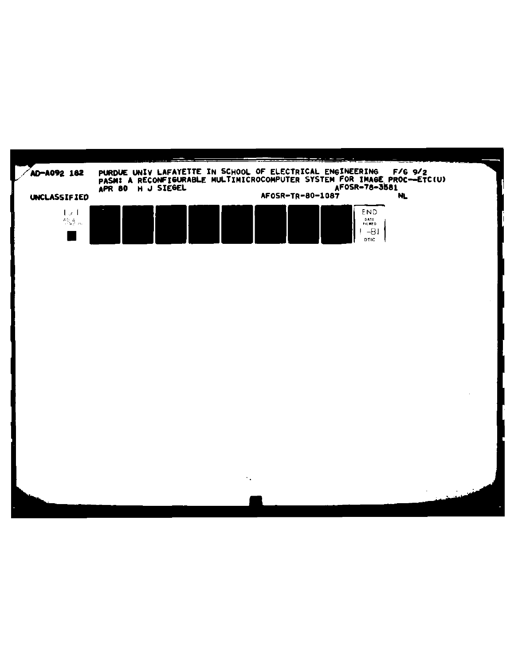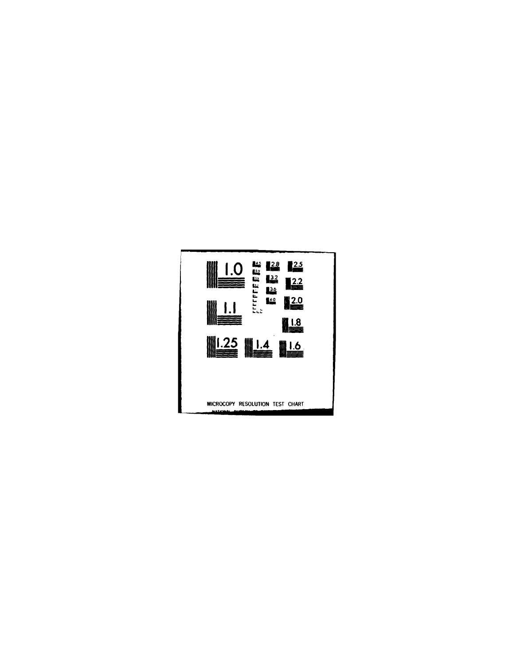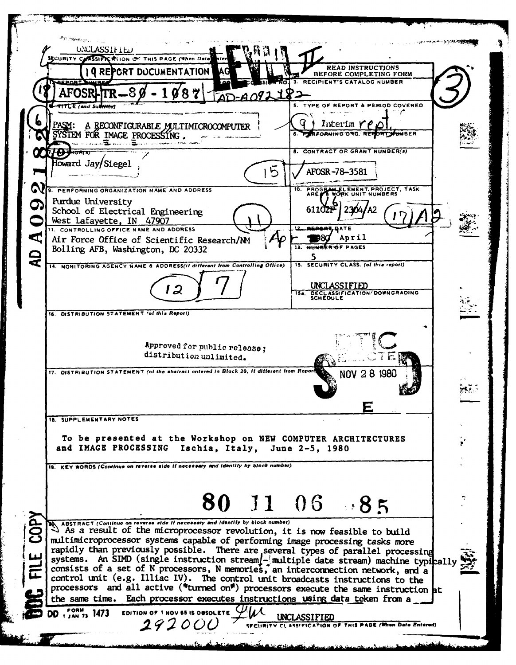**Permanent L'ESCRIPTION UNCLASSIFIED** SECURITY CLASSIFICATION OF THIS PAGE (When Data) **READ INSTRUCTIONS** PORT DOCUMENTATION BEFORE COMPLETING FORM RECIPIENT'S CATALOG NUMBER 87 **TYPE OF REPORT & PERIOD COVERED MTLE (and Sul** Interim  $rf$ A RECONFIGURABLE MULTIMICROCOMPUTER PERFORMING ONG. REP **DRT SHIMBER** SYSTEM FOR IMAGE PROCESSING. sa kubasa<del>ka</del> pada **18** atau keessa 8. CONTRACT OR GRANT NUMBER(s) ₩ HORTS Toward Jay/Siegel AFOSR-78-3581 PROGRAM ELEMENT, PROJECT, TASK PERFORMING ORGANIZATION NAME AND ADDRESS Purdue University 2304/A2 611021 School of Electrical Engineering West Lafayette, IN 47907 1. CONTROLLING OFFICE NAME AND ADDRESS ď **D80** April Air Force Office of Scientific Research/NM 11. NHMAER OF PAGES Bolling AFB, Washington, DC 20332  $\overline{\mathbf{C}}$ J 15. SECURITY CLASS. (of this report) 14. MONITORING AGENCY NAME & ADDRESS(if different from Controlling Office) UNCLASSIFIED 12 DECLASSIFICATION/DOWNGRADING  $\overline{15e}$ 16. DISTRIBUTION STATEMENT (of this Report) Approved for public release; distribution unlimited. 17. DISTRIBUTION STATEMENT (of the abstract entered in Block 20, it different from Report 28 1980 **NOV** rk). Е **18. SUPPLEMENTARY NOTES** To be presented at the Workshop on NEW COMPUTER ARCHITECTURES and IMAGE PROCESSING Ischia, Italy, June 2-5, 1980 19. KEY WORDS (Continue on reverse side if necessary and identity by block number) 80 11 06 85 ABSTRACT (Continue on reverse aide it necessary and identify by block number)<br>
As a result of the microprocessor revolution, it is now feasible to build multimicroprocessor systems capable of performing image processing tasks more rapidly than previously possible. There are several types of parallel processing<br>systems. An SIMD (single instruction stream/-imultiple date stream) machine typically consists of a set of N processors, N memories, an interconnection network, and a control unit (e.g. Illiac IV). The control unit broadcasts instructions to the processors and all active ("turned on") processors execute the same instruction at the same time. Each processor executes instructions using data teken from a FORM 1473 EDITION OF 1 NOV 65 IS OBSOLETE  $\mathcal{Y}$ //L UNCLASSIFIED 29200 SECURITY CLASSIFICATION OF THIS PAGE (When Date Entered)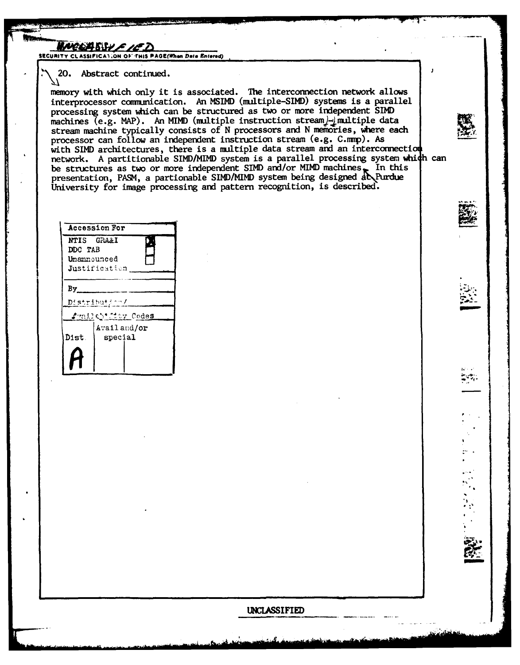<u>INEEASSY FIFZ</u>

SECURITY CLASSIFICATION OF THIS PAGE(When Date Entered)

20. Abstract continued.

memory with which only it is associated. The interconnection network allows interprocessor communication. An MSIMD (multiple-SIMD) systems is a parallel processing system which can be structured as two or more independent SIMD machines (e.g. MAP). An MIMD (multiple instruction stream)-imultiple data stream machine typically consists of N processors and N memories, where each processor can follow an independent instruction stream (e.g. C.mmp). As with SIMD architectures, there is a multiple data stream and an interconnection network. A partitionable SIMD/MIMD system is a parallel processing system which can be structures as two or more independent SIMD and/or MIMD machines. In this presentation, PASM, a partionable SIMD/MIMD system being designed at Purdue University for image processing and pattern recognition, is described.

| <b>Accession For</b>       |                 |  |
|----------------------------|-----------------|--|
|                            | NTIS GRAAI      |  |
| DDC TAB                    |                 |  |
| Unamsumced                 |                 |  |
| Justification              |                 |  |
| By<br><u>Distribution/</u> |                 |  |
| √rail©h*fity Code <u>s</u> |                 |  |
|                            | Avail and/or    |  |
| Dist.                      | ${\tt special}$ |  |
|                            |                 |  |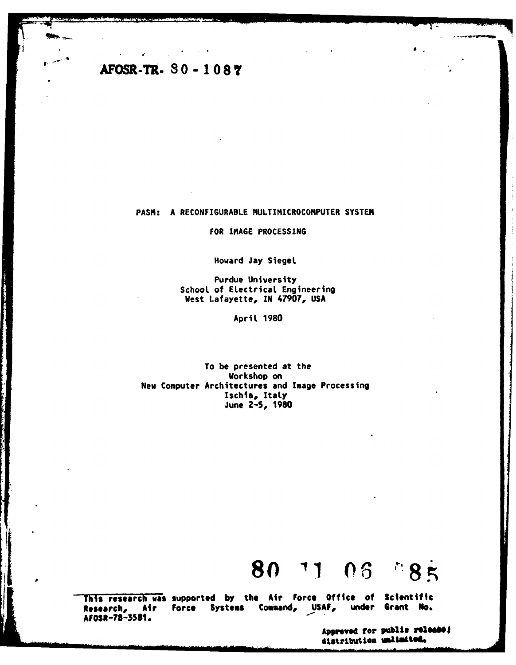## AFOSR-TR- 80 - 1087

**DIMAGE CARD WARD AND I** 

## PASM: A RECONFIGURABLE MULTIMICROCOMPUTER SYSTEM

FOR IMAGE PROCESSING

Howard Jay Siegel

Purdue University School of Electrical Engineering West Lafayette, IN 47907, USA

April 1980

To be presented at the Workshop on New Computer Architectures and Image Processing Ischia, Italy June 2-5, 1980

## 80 71 06 385

This research was supported by the Air Force Office of Scientific Research, Air Force Systems under Grant No. Command, USAF, AFOSR-78-3581.

> Approved for public release; distribution unlimited.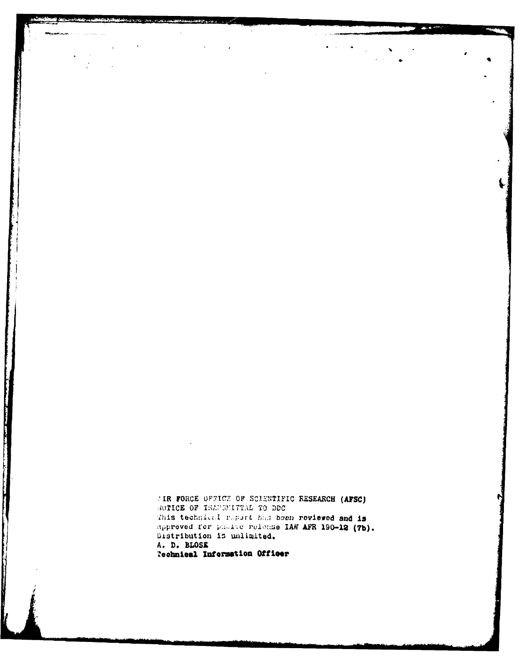TIR FORCE OFFICE OF SCIENTIFIC RESEARCH (AFSC) MOTICE OF IRANSMITTAL TO DDC This technical report has been reviewed and is approved for public release IAW AFR 190-12 (7b). Distribution is unlimited. A. D. BLOSE **Technical Information Officer** 

The Community of the Community of the Community of the Community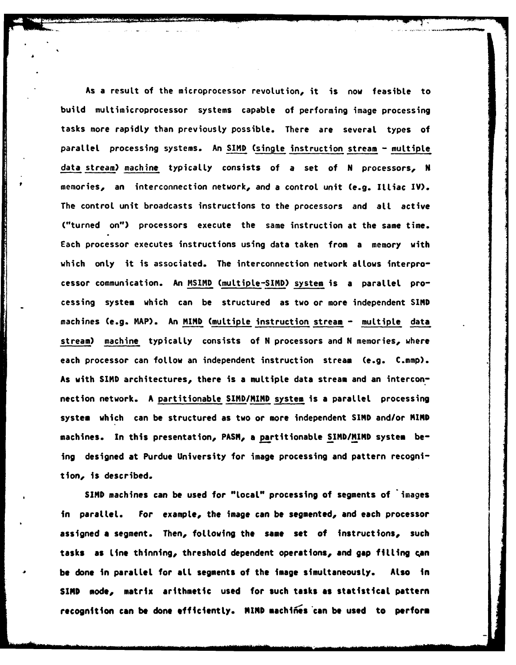As a result of the microprocessor revolution, it is now feasible to build multimicroprocessor systems capable of performing image processing tasks more rapidly than previously possible. There are several types of parallel processing systems. An **SIND** (single instruction stream **-** multiple data stream) machine typically consists of a set of **N** processors, **N** memories, an interconnection network, and a control unit (e.g. ILLiac IV). The control unit broadcasts instructions to the processors and all active ("turned on") processors execute the same instruction at the same time. Each processor executes instructions using data taken from a memory with which only it is associated. The interconnection network allows interprocessor communication. An MSIMD (muLtipte-SIMD) system is a parallel processing system which can be structured as two or more independent **SIND** machines (e.g. MAP). An MIND (multiple instruction stream **-** multiple data stream) machine typicaLly consists **of N** processors and **N** memories, where each processor can follow an independent instruction stream (e.g. C.mmp). As with **SIND** architectures, there is a multiple data stream and an interconnection network. **A** partitionabLe SIRD/MIMD system is a parallel processing system which can be structured as two or more independent **SIND** and/or **MIND** machines. In this presentation, PASM, a partitionable SIMD/MIMD system being designed at Purdue University for image processing and pattern recognition, is described.

**SIND** machines can be used for "Local" processing of segments of images in parallel. For example, the image can be segmented, and each processor assigned **a** segment. Then, foLlowing the same set **of** instructions, such tasks **as** Line thinning, threshold dependent operations, and **gap filling can be** done in parallel for aLL segments of **the** image simultaneously. Also **in SIND** mode, matrix arithmetic used for such tasks **as statistical pattern** recognition can be done efficiently. MIND machines can be used to perform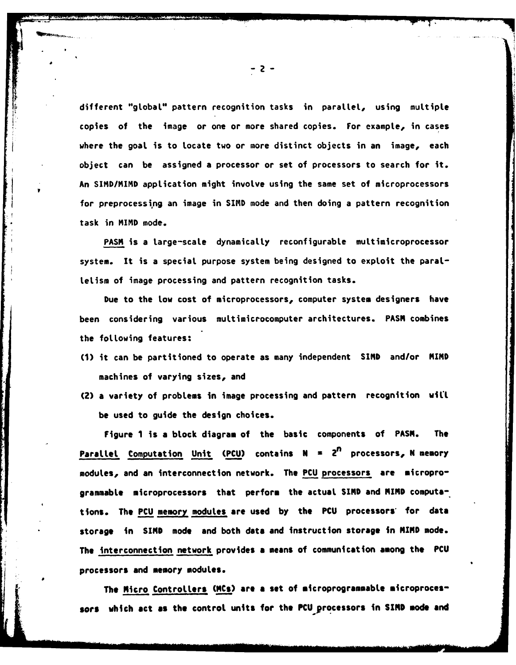different "globaL" pattern recognition tasks in paraLLel, using multiple copies of the image or one or more shared copies. For example, in cases where the goal is to locate two or more distinct objects in an image, each object can be assigned a processor or set of processors to search for it. An SIMD/MIMD application might involve using the same set of microprocessors for preprocessing an image in SIND mode and then doing a pattern recognition task in MIMD mode.

PASM is a large-scale dynamically reconfigurable multimicroprocessor system. It is a special purpose system being designed to exploit the paral-LeLism of image processing and pattern recognition tasks.

Due to the Low cost of microprocessors, computer system designers have been considering various muLtimicrocomputer architectures. **PASM** combines the following features:

- **(1)** it can be partitioned to operate as many independent SIMD and/or MIND machines of varying sizes, and
- (2) a variety of problems in image processing and pattern recognition will be used to guide the design choices.

Figure 1 is **a** block diagram of the basic components of **PASM. The** ParalLel Computation Unit **(PCU)** contains **N . 2n** processors, **N** memory modules, and an interconnection network. The **PCU** processors are microprogrammabLe microprocessors that perform the actual **SIND** and **MIND** compute-. tions. The **PCU** memory modules are used **by** the **PCU** processors\* for data storage in SIMD mode and both data and instruction storage in MIND mode. **The** interconnection network provides a means of communication **among the PCU** processors and memory modules.

The Micro Controllers (MCs) are a set of microprogrammable microproces**sors** which **act as the** control units for the PCU processors in **SIND** mode **and**

-2-

t--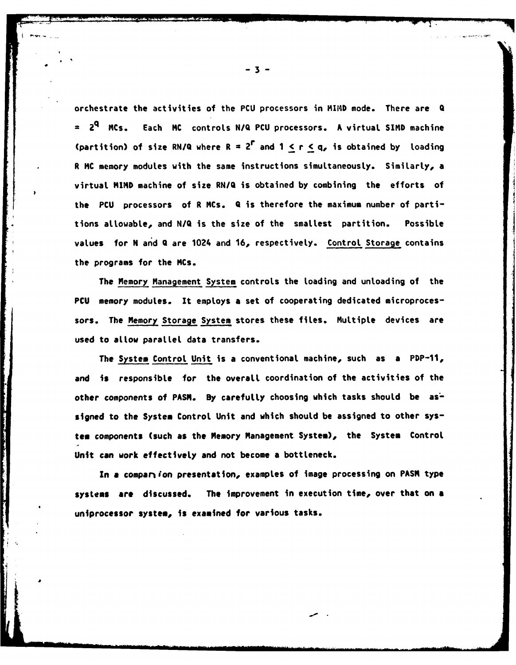orchestrate the activities of the **PCU** processors in MIMD mode. There are Q **= 2q** MCs. Each **MC** controls **N/Q PCU** processors. **A** virtual **SIND** machine (partition) of size **RN/Q** where R **= 2r** and **I <** r **< q,** is obtained **by** Loading R **MC** memory modules with the same instructions simultaneously. Similarly, a virtual **MIND** machine of size **RN/Q** is obtained by combining the efforts of the **PCU** processors of R MCs. Q is therefore the maximum number of partitions allowable, and **N/Q** is the size of the smallest partition. Possible values for **N** and Q are 1024 and **16,** respectively. Control Storage contains the programs for the MCs.

The Memory Management System controls the Loading and unloading of the **PCU** memory modules. It employs a set of cooperating dedicated microprocessors. The Memory Storage System stores these files. Multiple devices are used to allow parallel data transfers.

The System Control Unit is a conventional machine, such as a PDP-11, and **is** responsible for the overall coordination of the activities of the other components of PASM. By carefully choosing which tasks should be assigned to the **System** Control Unit and which should be assigned to other sys**team components (such as** the Memory Management System), the System Control Unit can work effectively and not become **a** bottleneck.

In **a** compan ion presentation, examples of image processing on PASM type **systems are discussed. The** improvement in execution time, over that on **a** uniprocessor system, is examined for various tasks.

**-aI**

**-3-**